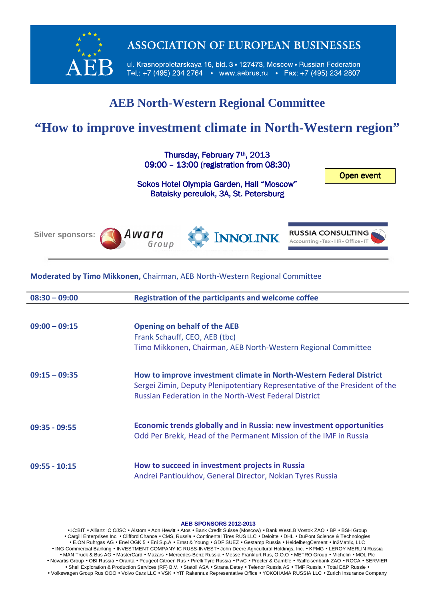

**ASSOCIATION OF EUROPEAN BUSINESSES** 

ul. Krasnoproletarskaya 16, bld. 3 · 127473, Moscow · Russian Federation Tel.: +7 (495) 234 2764 • www.aebrus.ru • Fax: +7 (495) 234 2807

## **AEB North-Western Regional Committee**

# **"How to improve investment climate in North-Western region"**

Thursday, February 7<sup>th</sup>, 2013 09:00 - 13:00 (registration from 08:30)

Open event

Sokos Hotel Olympia Garden, Hall "Moscow" Bataisky pereulok, 3A, St. Petersburg



## **Moderated by Timo Mikkonen,** Chairman, AEB North-Western Regional Committee

| $08:30 - 09:00$ | <b>Registration of the participants and welcome coffee</b>                                                                                                                                                         |
|-----------------|--------------------------------------------------------------------------------------------------------------------------------------------------------------------------------------------------------------------|
|                 |                                                                                                                                                                                                                    |
| $09:00 - 09:15$ | <b>Opening on behalf of the AEB</b>                                                                                                                                                                                |
|                 | Frank Schauff, CEO, AEB (tbc)                                                                                                                                                                                      |
|                 | Timo Mikkonen, Chairman, AEB North-Western Regional Committee                                                                                                                                                      |
| $09:15 - 09:35$ | How to improve investment climate in North-Western Federal District<br>Sergei Zimin, Deputy Plenipotentiary Representative of the President of the<br><b>Russian Federation in the North-West Federal District</b> |
| $09:35 - 09:55$ | Economic trends globally and in Russia: new investment opportunities<br>Odd Per Brekk, Head of the Permanent Mission of the IMF in Russia                                                                          |
| $09:55 - 10:15$ | How to succeed in investment projects in Russia<br>Andrei Pantioukhov, General Director, Nokian Tyres Russia                                                                                                       |

### **AEB SPONSORS 2012-2013**

•1C:BIT • Allianz IC OJSC • Alstom • Aon Hewitt • Atos • Bank Credit Suisse (Moscow) • Bank WestLB Vostok ZAO • BP • BSH Group • Cargill Enterprises Inc. • Clifford Chance • CMS, Russia • Continental Tires RUS LLC • Deloitte • DHL • DuPont Science & Technologies • E.ON Ruhrgas AG • Enel OGK 5 • Eni S.p.A • Ernst & Young • GDF SUEZ • Gestamp Russia • HeidelbergCement • In2Matrix, LLC • ING Commercial Banking • INVESTMENT COMPANY IC RUSS-INVEST• John Deere Agricultural Holdings, Inc. • KPMG • LEROY MERLIN Russia • MAN Truck & Bus AG • MasterCard • Mazars • Mercedes-Benz Russia • Messe Frankfurt Rus, O.O.O • METRO Group • Michelin • MOL Plc • Novartis Group • OBI Russia • Oranta • Peugeot Citroen Rus • Pirelli Tyre Russia • PwC • Procter & Gamble • Raiffeisenbank ZAO • ROCA • SERVIER • Shell Exploration & Production Services (RF) B.V. • Statoil ASA • Strana Detey • Telenor Russia AS • TMF Russia • Total E&P Russie • • Volkswagen Group Rus OOO • Volvo Cars LLC • VSK • YIT Rakennus Representative Office • YOKOHAMA RUSSIA LLC • Zurich Insurance Company